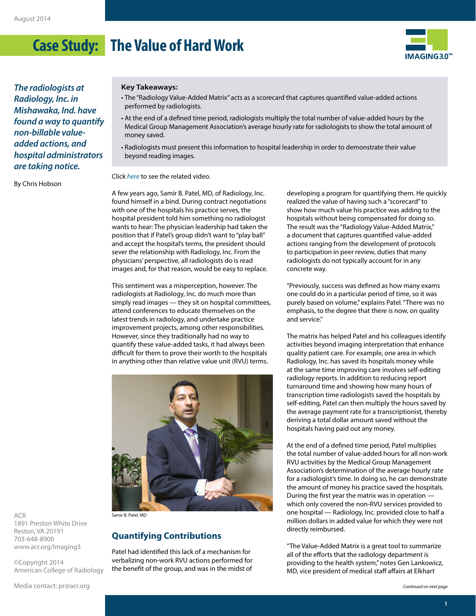# **Case Study: The Value of Hard Work**



*The radiologists at Radiology, Inc. in Mishawaka, Ind. have found a way to quantify non-billable valueadded actions, and hospital administrators are taking notice.*

By Chris Hobson

#### **Key Takeaways:**

- The "Radiology Value-Added Matrix" acts as a scorecard that captures quantified value-added actions performed by radiologists.
- At the end of a defined time period, radiologists multiply the total number of value-added hours by the Medical Group Management Association's average hourly rate for radiologists to show the total amount of money saved.
- Radiologists must present this information to hospital leadership in order to demonstrate their value beyond reading images.

Click *[here](http://www.youtube.com/watch?v=aouWGWBp348&list=UUyxGwxITDTiIMSQi6pRR6AA)* to see the related video.

A few years ago, Samir B. Patel, MD, of Radiology, Inc. found himself in a bind. During contract negotiations with one of the hospitals his practice serves, the hospital president told him something no radiologist wants to hear: The physician leadership had taken the position that if Patel's group didn't want to "play ball" and accept the hospital's terms, the president should sever the relationship with Radiology, Inc. From the physicians' perspective, all radiologists do is read images and, for that reason, would be easy to replace.

This sentiment was a misperception, however. The radiologists at Radiology, Inc. do much more than simply read images — they sit on hospital committees, attend conferences to educate themselves on the latest trends in radiology, and undertake practice improvement projects, among other responsibilities. However, since they traditionally had no way to quantify these value-added tasks, it had always been difficult for them to prove their worth to the hospitals in anything other than relative value unit (RVU) terms.



ACR 1891 Preston White Drive Reston, VA 20191 703-648-8900 [www.acr.org/Imaging3](http://www.acr.org/Imaging3)

©Copyright 2014 American College of Radiology Samir B. Patel, MD

## **Quantifying Contributions**

Patel had identified this lack of a mechanism for verbalizing non-work RVU actions performed for the benefit of the group, and was in the midst of

developing a program for quantifying them. He quickly realized the value of having such a "scorecard" to show how much value his practice was adding to the hospitals without being compensated for doing so. The result was the "Radiology Value-Added Matrix," a document that captures quantified value-added actions ranging from the development of protocols to participation in peer review, duties that many radiologists do not typically account for in any concrete way.

"Previously, success was defined as how many exams one could do in a particular period of time, so it was purely based on volume," explains Patel. "There was no emphasis, to the degree that there is now, on quality and service."

The matrix has helped Patel and his colleagues identify activities beyond imaging interpretation that enhance quality patient care. For example, one area in which Radiology, Inc. has saved its hospitals money while at the same time improving care involves self-editing radiology reports. In addition to reducing report turnaround time and showing how many hours of transcription time radiologists saved the hospitals by self-editing, Patel can then multiply the hours saved by the average payment rate for a transcriptionist, thereby deriving a total dollar amount saved without the hospitals having paid out any money.

At the end of a defined time period, Patel multiplies the total number of value-added hours for all non-work RVU activities by the Medical Group Management Association's determination of the average hourly rate for a radiologist's time. In doing so, he can demonstrate the amount of money his practice saved the hospitals. During the first year the matrix was in operation which only covered the non-RVU services provided to one hospital — Radiology, Inc. provided close to half a million dollars in added value for which they were not directly reimbursed.

"The Value-Added Matrix is a great tool to summarize all of the efforts that the radiology department is providing to the health system," notes Gen Lankowicz, MD, vice president of medical staff affairs at Elkhart